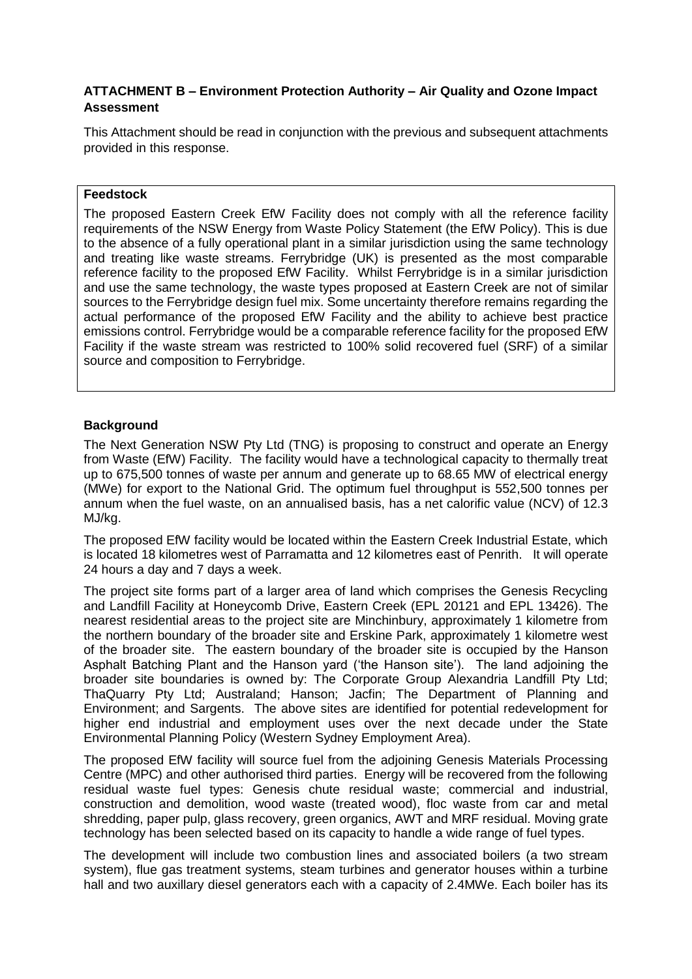## **ATTACHMENT B – Environment Protection Authority – Air Quality and Ozone Impact Assessment**

This Attachment should be read in conjunction with the previous and subsequent attachments provided in this response.

#### **Feedstock**

The proposed Eastern Creek EfW Facility does not comply with all the reference facility requirements of the NSW Energy from Waste Policy Statement (the EfW Policy). This is due to the absence of a fully operational plant in a similar jurisdiction using the same technology and treating like waste streams. Ferrybridge (UK) is presented as the most comparable reference facility to the proposed EfW Facility. Whilst Ferrybridge is in a similar jurisdiction and use the same technology, the waste types proposed at Eastern Creek are not of similar sources to the Ferrybridge design fuel mix. Some uncertainty therefore remains regarding the actual performance of the proposed EfW Facility and the ability to achieve best practice emissions control. Ferrybridge would be a comparable reference facility for the proposed EfW Facility if the waste stream was restricted to 100% solid recovered fuel (SRF) of a similar source and composition to Ferrybridge.

#### **Background**

The Next Generation NSW Pty Ltd (TNG) is proposing to construct and operate an Energy from Waste (EfW) Facility. The facility would have a technological capacity to thermally treat up to 675,500 tonnes of waste per annum and generate up to 68.65 MW of electrical energy (MWe) for export to the National Grid. The optimum fuel throughput is 552,500 tonnes per annum when the fuel waste, on an annualised basis, has a net calorific value (NCV) of 12.3 MJ/kg.

The proposed EfW facility would be located within the Eastern Creek Industrial Estate, which is located 18 kilometres west of Parramatta and 12 kilometres east of Penrith. It will operate 24 hours a day and 7 days a week.

The project site forms part of a larger area of land which comprises the Genesis Recycling and Landfill Facility at Honeycomb Drive, Eastern Creek (EPL 20121 and EPL 13426). The nearest residential areas to the project site are Minchinbury, approximately 1 kilometre from the northern boundary of the broader site and Erskine Park, approximately 1 kilometre west of the broader site. The eastern boundary of the broader site is occupied by the Hanson Asphalt Batching Plant and the Hanson yard ('the Hanson site'). The land adjoining the broader site boundaries is owned by: The Corporate Group Alexandria Landfill Pty Ltd; ThaQuarry Pty Ltd; Australand; Hanson; Jacfin; The Department of Planning and Environment; and Sargents. The above sites are identified for potential redevelopment for higher end industrial and employment uses over the next decade under the State Environmental Planning Policy (Western Sydney Employment Area).

The proposed EfW facility will source fuel from the adjoining Genesis Materials Processing Centre (MPC) and other authorised third parties. Energy will be recovered from the following residual waste fuel types: Genesis chute residual waste; commercial and industrial, construction and demolition, wood waste (treated wood), floc waste from car and metal shredding, paper pulp, glass recovery, green organics, AWT and MRF residual. Moving grate technology has been selected based on its capacity to handle a wide range of fuel types.

The development will include two combustion lines and associated boilers (a two stream system), flue gas treatment systems, steam turbines and generator houses within a turbine hall and two auxillary diesel generators each with a capacity of 2.4MWe. Each boiler has its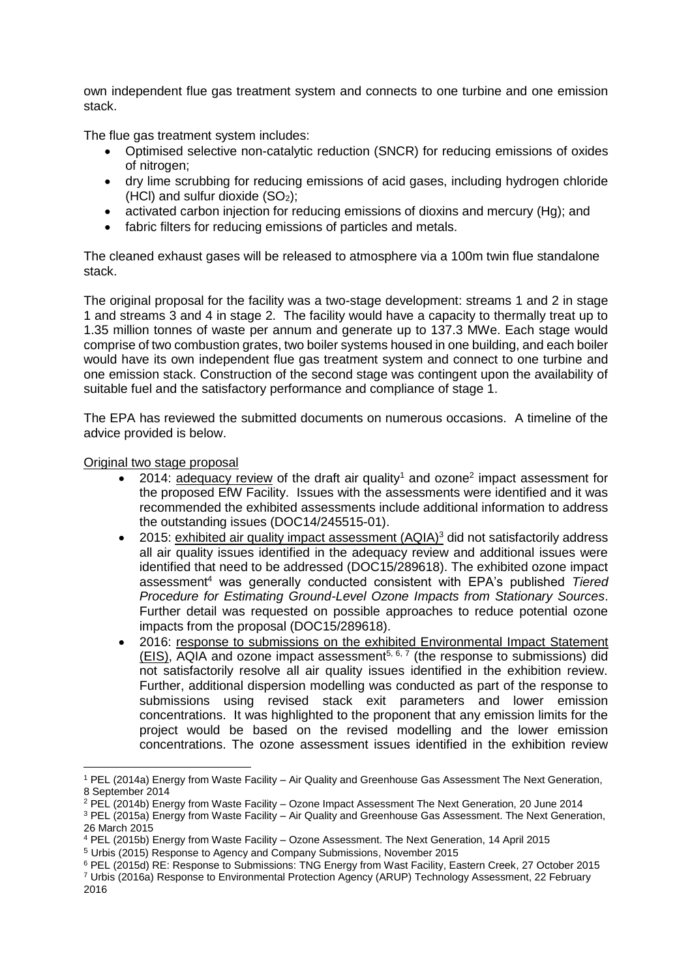own independent flue gas treatment system and connects to one turbine and one emission stack.

The flue gas treatment system includes:

- Optimised selective non-catalytic reduction (SNCR) for reducing emissions of oxides of nitrogen;
- dry lime scrubbing for reducing emissions of acid gases, including hydrogen chloride (HCl) and sulfur dioxide  $(SO<sub>2</sub>)$ ;
- activated carbon injection for reducing emissions of dioxins and mercury (Hg); and
- fabric filters for reducing emissions of particles and metals.

The cleaned exhaust gases will be released to atmosphere via a 100m twin flue standalone stack.

The original proposal for the facility was a two-stage development: streams 1 and 2 in stage 1 and streams 3 and 4 in stage 2. The facility would have a capacity to thermally treat up to 1.35 million tonnes of waste per annum and generate up to 137.3 MWe. Each stage would comprise of two combustion grates, two boiler systems housed in one building, and each boiler would have its own independent flue gas treatment system and connect to one turbine and one emission stack. Construction of the second stage was contingent upon the availability of suitable fuel and the satisfactory performance and compliance of stage 1.

The EPA has reviewed the submitted documents on numerous occasions. A timeline of the advice provided is below.

#### Original two stage proposal

- 2014:  $\frac{1}{\text{adeguacy review}}$  of the draft air quality<sup>1</sup> and ozone<sup>2</sup> impact assessment for the proposed EfW Facility. Issues with the assessments were identified and it was recommended the exhibited assessments include additional information to address the outstanding issues (DOC14/245515-01).
- 2015: exhibited air quality impact assessment  $(AQIA)^3$  did not satisfactorily address all air quality issues identified in the adequacy review and additional issues were identified that need to be addressed (DOC15/289618). The exhibited ozone impact assessment<sup>4</sup> was generally conducted consistent with EPA's published *Tiered Procedure for Estimating Ground-Level Ozone Impacts from Stationary Sources*. Further detail was requested on possible approaches to reduce potential ozone impacts from the proposal (DOC15/289618).
- 2016: response to submissions on the exhibited Environmental Impact Statement  $(EIS)$ , AQIA and ozone impact assessment<sup>5, 6, 7</sup> (the response to submissions) did not satisfactorily resolve all air quality issues identified in the exhibition review. Further, additional dispersion modelling was conducted as part of the response to submissions using revised stack exit parameters and lower emission concentrations. It was highlighted to the proponent that any emission limits for the project would be based on the revised modelling and the lower emission concentrations. The ozone assessment issues identified in the exhibition review

 $\overline{a}$ <sup>1</sup> PEL (2014a) Energy from Waste Facility – Air Quality and Greenhouse Gas Assessment The Next Generation, 8 September 2014

<sup>2</sup> PEL (2014b) Energy from Waste Facility – Ozone Impact Assessment The Next Generation, 20 June 2014

<sup>3</sup> PEL (2015a) Energy from Waste Facility – Air Quality and Greenhouse Gas Assessment. The Next Generation, 26 March 2015

<sup>4</sup> PEL (2015b) Energy from Waste Facility – Ozone Assessment. The Next Generation, 14 April 2015

<sup>5</sup> Urbis (2015) Response to Agency and Company Submissions, November 2015

<sup>6</sup> PEL (2015d) RE: Response to Submissions: TNG Energy from Wast Facility, Eastern Creek, 27 October 2015 <sup>7</sup> Urbis (2016a) Response to Environmental Protection Agency (ARUP) Technology Assessment, 22 February 2016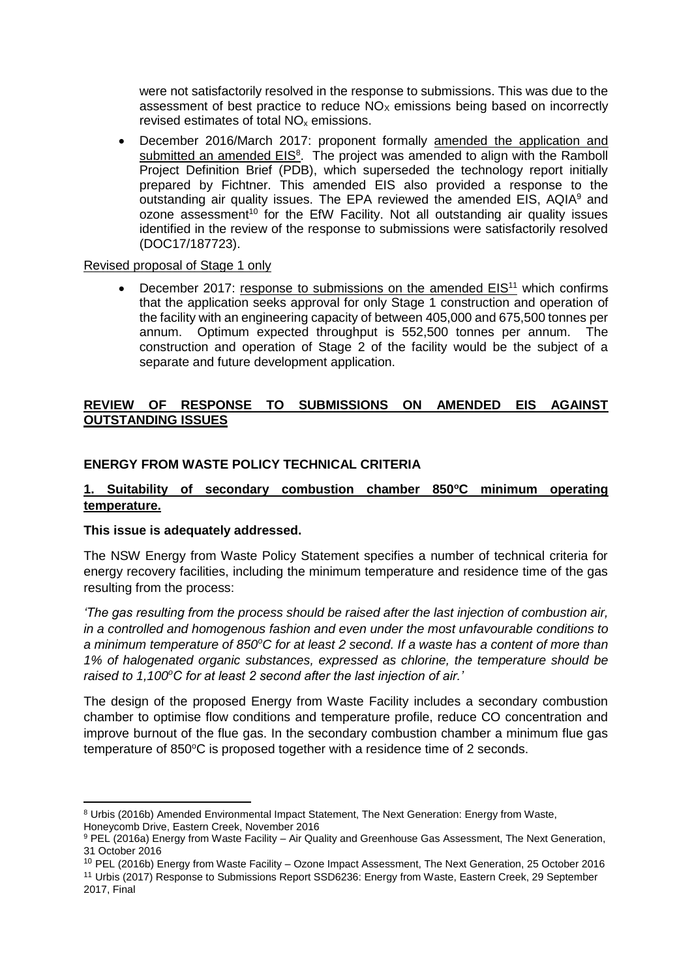were not satisfactorily resolved in the response to submissions. This was due to the assessment of best practice to reduce  $NO<sub>x</sub>$  emissions being based on incorrectly revised estimates of total  $NO<sub>x</sub>$  emissions.

• December 2016/March 2017: proponent formally amended the application and submitted an amended EIS<sup>8</sup>. The project was amended to align with the Ramboll Project Definition Brief (PDB), which superseded the technology report initially prepared by Fichtner. This amended EIS also provided a response to the outstanding air quality issues. The EPA reviewed the amended EIS, AQIA<sup>9</sup> and  $o$ zone assessment<sup>10</sup> for the EfW Facility. Not all outstanding air quality issues identified in the review of the response to submissions were satisfactorily resolved (DOC17/187723).

## Revised proposal of Stage 1 only

December 2017: response to submissions on the amended EIS<sup>11</sup> which confirms that the application seeks approval for only Stage 1 construction and operation of the facility with an engineering capacity of between 405,000 and 675,500 tonnes per annum. Optimum expected throughput is 552,500 tonnes per annum. The construction and operation of Stage 2 of the facility would be the subject of a separate and future development application.

## **REVIEW OF RESPONSE TO SUBMISSIONS ON AMENDED EIS AGAINST OUTSTANDING ISSUES**

## **ENERGY FROM WASTE POLICY TECHNICAL CRITERIA**

## **1. Suitability of secondary combustion chamber 850<sup>o</sup>C minimum operating temperature.**

## **This issue is adequately addressed.**

1

The NSW Energy from Waste Policy Statement specifies a number of technical criteria for energy recovery facilities, including the minimum temperature and residence time of the gas resulting from the process:

*'The gas resulting from the process should be raised after the last injection of combustion air, in a controlled and homogenous fashion and even under the most unfavourable conditions to a minimum temperature of 850<sup>o</sup>C for at least 2 second. If a waste has a content of more than 1% of halogenated organic substances, expressed as chlorine, the temperature should be raised to 1,100<sup>o</sup>C for at least 2 second after the last injection of air.'*

The design of the proposed Energy from Waste Facility includes a secondary combustion chamber to optimise flow conditions and temperature profile, reduce CO concentration and improve burnout of the flue gas. In the secondary combustion chamber a minimum flue gas temperature of  $850^{\circ}$ C is proposed together with a residence time of 2 seconds.

<sup>8</sup> Urbis (2016b) Amended Environmental Impact Statement, The Next Generation: Energy from Waste, Honeycomb Drive, Eastern Creek, November 2016

<sup>9</sup> PEL (2016a) Energy from Waste Facility - Air Quality and Greenhouse Gas Assessment, The Next Generation, 31 October 2016

<sup>10</sup> PEL (2016b) Energy from Waste Facility – Ozone Impact Assessment, The Next Generation, 25 October 2016

<sup>11</sup> Urbis (2017) Response to Submissions Report SSD6236: Energy from Waste, Eastern Creek, 29 September 2017, Final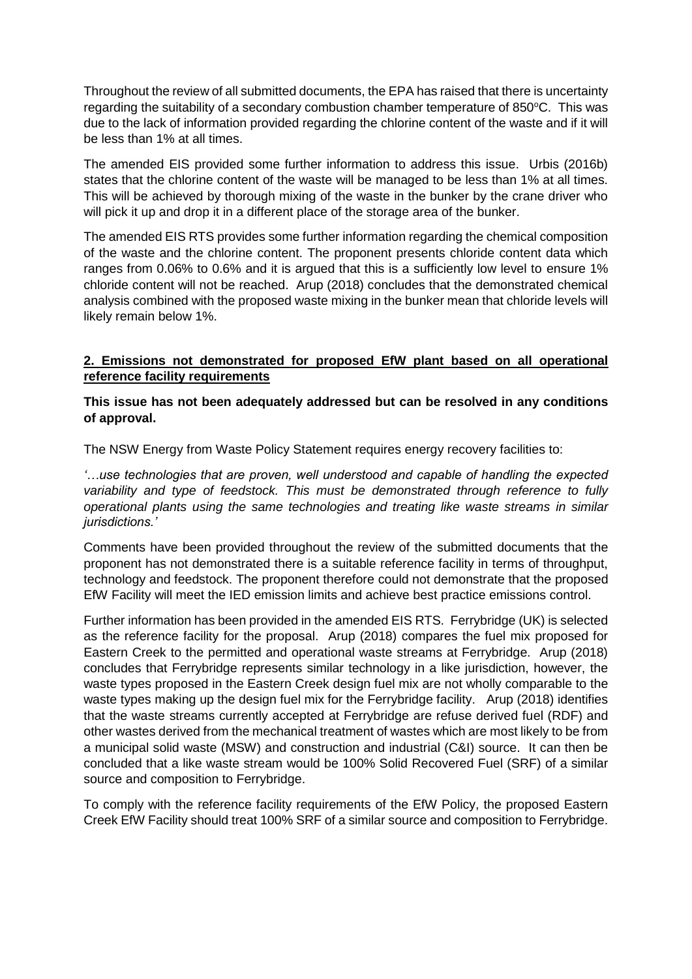Throughout the review of all submitted documents, the EPA has raised that there is uncertainty regarding the suitability of a secondary combustion chamber temperature of 850°C. This was due to the lack of information provided regarding the chlorine content of the waste and if it will be less than 1% at all times.

The amended EIS provided some further information to address this issue. Urbis (2016b) states that the chlorine content of the waste will be managed to be less than 1% at all times. This will be achieved by thorough mixing of the waste in the bunker by the crane driver who will pick it up and drop it in a different place of the storage area of the bunker.

The amended EIS RTS provides some further information regarding the chemical composition of the waste and the chlorine content. The proponent presents chloride content data which ranges from 0.06% to 0.6% and it is argued that this is a sufficiently low level to ensure 1% chloride content will not be reached. Arup (2018) concludes that the demonstrated chemical analysis combined with the proposed waste mixing in the bunker mean that chloride levels will likely remain below 1%.

## **2. Emissions not demonstrated for proposed EfW plant based on all operational reference facility requirements**

## **This issue has not been adequately addressed but can be resolved in any conditions of approval.**

The NSW Energy from Waste Policy Statement requires energy recovery facilities to:

*'…use technologies that are proven, well understood and capable of handling the expected variability and type of feedstock. This must be demonstrated through reference to fully operational plants using the same technologies and treating like waste streams in similar jurisdictions.'*

Comments have been provided throughout the review of the submitted documents that the proponent has not demonstrated there is a suitable reference facility in terms of throughput, technology and feedstock. The proponent therefore could not demonstrate that the proposed EfW Facility will meet the IED emission limits and achieve best practice emissions control.

Further information has been provided in the amended EIS RTS. Ferrybridge (UK) is selected as the reference facility for the proposal. Arup (2018) compares the fuel mix proposed for Eastern Creek to the permitted and operational waste streams at Ferrybridge. Arup (2018) concludes that Ferrybridge represents similar technology in a like jurisdiction, however, the waste types proposed in the Eastern Creek design fuel mix are not wholly comparable to the waste types making up the design fuel mix for the Ferrybridge facility. Arup (2018) identifies that the waste streams currently accepted at Ferrybridge are refuse derived fuel (RDF) and other wastes derived from the mechanical treatment of wastes which are most likely to be from a municipal solid waste (MSW) and construction and industrial (C&I) source. It can then be concluded that a like waste stream would be 100% Solid Recovered Fuel (SRF) of a similar source and composition to Ferrybridge.

To comply with the reference facility requirements of the EfW Policy, the proposed Eastern Creek EfW Facility should treat 100% SRF of a similar source and composition to Ferrybridge.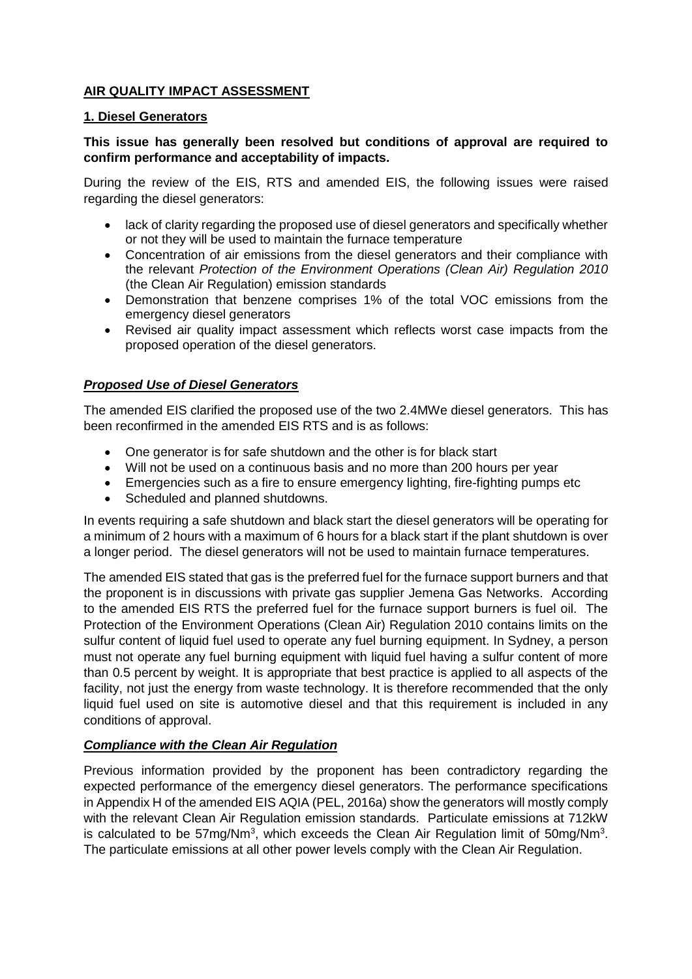## **AIR QUALITY IMPACT ASSESSMENT**

## **1. Diesel Generators**

## **This issue has generally been resolved but conditions of approval are required to confirm performance and acceptability of impacts.**

During the review of the EIS, RTS and amended EIS, the following issues were raised regarding the diesel generators:

- lack of clarity regarding the proposed use of diesel generators and specifically whether or not they will be used to maintain the furnace temperature
- Concentration of air emissions from the diesel generators and their compliance with the relevant *Protection of the Environment Operations (Clean Air) Regulation 2010* (the Clean Air Regulation) emission standards
- Demonstration that benzene comprises 1% of the total VOC emissions from the emergency diesel generators
- Revised air quality impact assessment which reflects worst case impacts from the proposed operation of the diesel generators.

## *Proposed Use of Diesel Generators*

The amended EIS clarified the proposed use of the two 2.4MWe diesel generators. This has been reconfirmed in the amended EIS RTS and is as follows:

- One generator is for safe shutdown and the other is for black start
- Will not be used on a continuous basis and no more than 200 hours per year
- Emergencies such as a fire to ensure emergency lighting, fire-fighting pumps etc
- Scheduled and planned shutdowns.

In events requiring a safe shutdown and black start the diesel generators will be operating for a minimum of 2 hours with a maximum of 6 hours for a black start if the plant shutdown is over a longer period. The diesel generators will not be used to maintain furnace temperatures.

The amended EIS stated that gas is the preferred fuel for the furnace support burners and that the proponent is in discussions with private gas supplier Jemena Gas Networks. According to the amended EIS RTS the preferred fuel for the furnace support burners is fuel oil. The Protection of the Environment Operations (Clean Air) Regulation 2010 contains limits on the sulfur content of liquid fuel used to operate any fuel burning equipment. In Sydney, a person must not operate any fuel burning equipment with liquid fuel having a sulfur content of more than 0.5 percent by weight. It is appropriate that best practice is applied to all aspects of the facility, not just the energy from waste technology. It is therefore recommended that the only liquid fuel used on site is automotive diesel and that this requirement is included in any conditions of approval.

## *Compliance with the Clean Air Regulation*

Previous information provided by the proponent has been contradictory regarding the expected performance of the emergency diesel generators. The performance specifications in Appendix H of the amended EIS AQIA (PEL, 2016a) show the generators will mostly comply with the relevant Clean Air Regulation emission standards. Particulate emissions at 712kW is calculated to be 57mg/Nm<sup>3</sup>, which exceeds the Clean Air Regulation limit of 50mg/Nm<sup>3</sup>. The particulate emissions at all other power levels comply with the Clean Air Regulation.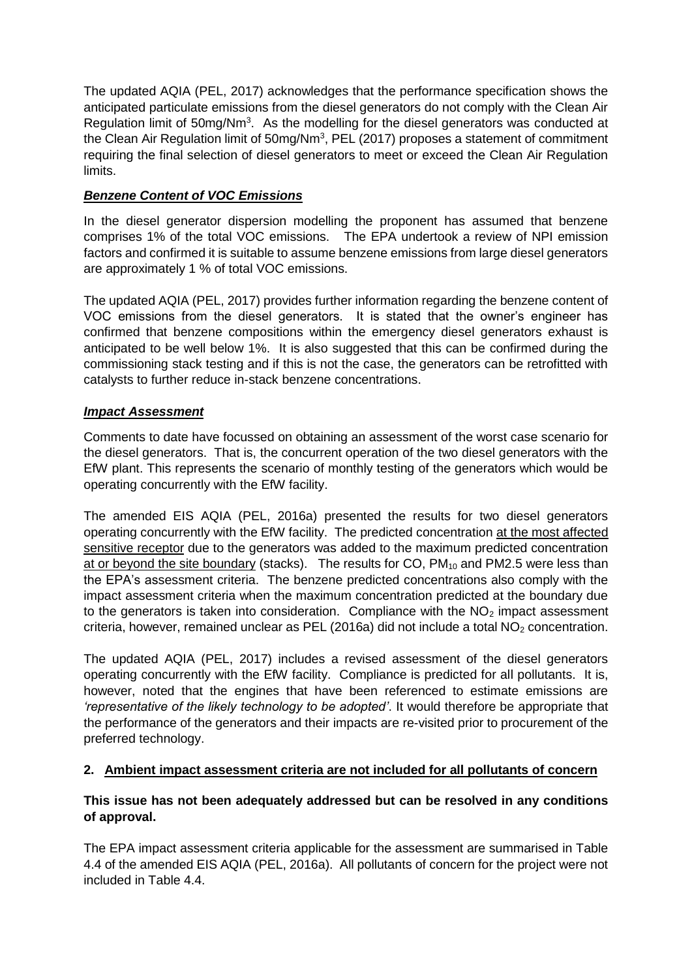The updated AQIA (PEL, 2017) acknowledges that the performance specification shows the anticipated particulate emissions from the diesel generators do not comply with the Clean Air Regulation limit of 50mg/Nm<sup>3</sup>. As the modelling for the diesel generators was conducted at the Clean Air Regulation limit of  $50mg/Nm<sup>3</sup>$ , PEL (2017) proposes a statement of commitment requiring the final selection of diesel generators to meet or exceed the Clean Air Regulation limits.

# *Benzene Content of VOC Emissions*

In the diesel generator dispersion modelling the proponent has assumed that benzene comprises 1% of the total VOC emissions. The EPA undertook a review of NPI emission factors and confirmed it is suitable to assume benzene emissions from large diesel generators are approximately 1 % of total VOC emissions.

The updated AQIA (PEL, 2017) provides further information regarding the benzene content of VOC emissions from the diesel generators. It is stated that the owner's engineer has confirmed that benzene compositions within the emergency diesel generators exhaust is anticipated to be well below 1%. It is also suggested that this can be confirmed during the commissioning stack testing and if this is not the case, the generators can be retrofitted with catalysts to further reduce in-stack benzene concentrations.

# *Impact Assessment*

Comments to date have focussed on obtaining an assessment of the worst case scenario for the diesel generators. That is, the concurrent operation of the two diesel generators with the EfW plant. This represents the scenario of monthly testing of the generators which would be operating concurrently with the EfW facility.

The amended EIS AQIA (PEL, 2016a) presented the results for two diesel generators operating concurrently with the EfW facility. The predicted concentration at the most affected sensitive receptor due to the generators was added to the maximum predicted concentration at or beyond the site boundary (stacks). The results for CO,  $PM_{10}$  and  $PM2.5$  were less than the EPA's assessment criteria. The benzene predicted concentrations also comply with the impact assessment criteria when the maximum concentration predicted at the boundary due to the generators is taken into consideration. Compliance with the  $NO<sub>2</sub>$  impact assessment criteria, however, remained unclear as PEL (2016a) did not include a total  $NO<sub>2</sub>$  concentration.

The updated AQIA (PEL, 2017) includes a revised assessment of the diesel generators operating concurrently with the EfW facility. Compliance is predicted for all pollutants. It is, however, noted that the engines that have been referenced to estimate emissions are *'representative of the likely technology to be adopted'*. It would therefore be appropriate that the performance of the generators and their impacts are re-visited prior to procurement of the preferred technology.

# **2. Ambient impact assessment criteria are not included for all pollutants of concern**

# **This issue has not been adequately addressed but can be resolved in any conditions of approval.**

The EPA impact assessment criteria applicable for the assessment are summarised in Table 4.4 of the amended EIS AQIA (PEL, 2016a). All pollutants of concern for the project were not included in Table 4.4.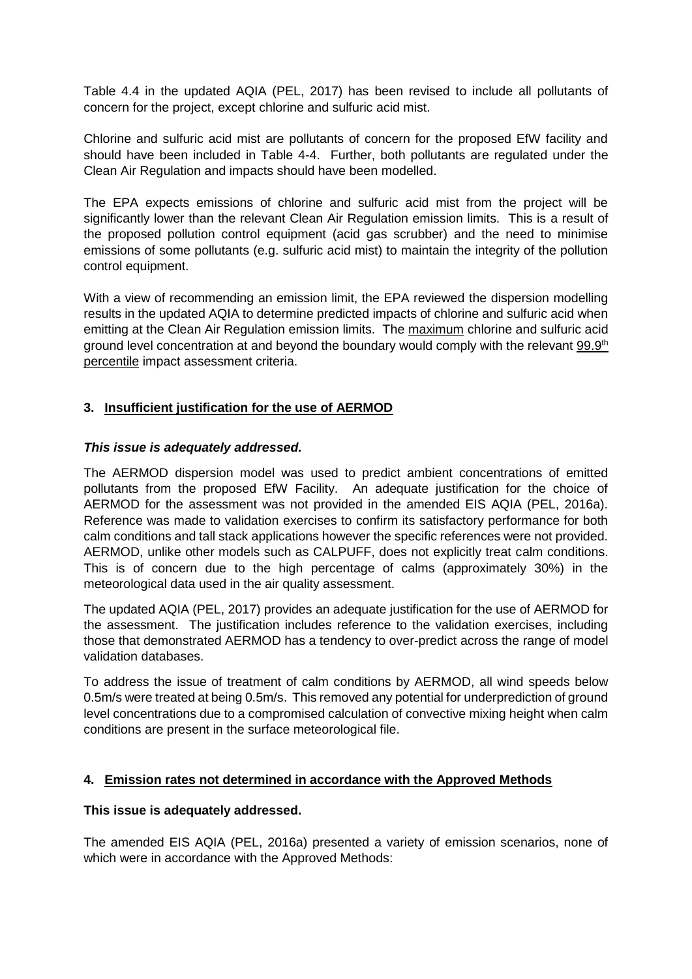Table 4.4 in the updated AQIA (PEL, 2017) has been revised to include all pollutants of concern for the project, except chlorine and sulfuric acid mist.

Chlorine and sulfuric acid mist are pollutants of concern for the proposed EfW facility and should have been included in Table 4-4. Further, both pollutants are regulated under the Clean Air Regulation and impacts should have been modelled.

The EPA expects emissions of chlorine and sulfuric acid mist from the project will be significantly lower than the relevant Clean Air Regulation emission limits. This is a result of the proposed pollution control equipment (acid gas scrubber) and the need to minimise emissions of some pollutants (e.g. sulfuric acid mist) to maintain the integrity of the pollution control equipment.

With a view of recommending an emission limit, the EPA reviewed the dispersion modelling results in the updated AQIA to determine predicted impacts of chlorine and sulfuric acid when emitting at the Clean Air Regulation emission limits. The maximum chlorine and sulfuric acid ground level concentration at and beyond the boundary would comply with the relevant 99.9<sup>th</sup> percentile impact assessment criteria.

## **3. Insufficient justification for the use of AERMOD**

## *This issue is adequately addressed.*

The AERMOD dispersion model was used to predict ambient concentrations of emitted pollutants from the proposed EfW Facility. An adequate justification for the choice of AERMOD for the assessment was not provided in the amended EIS AQIA (PEL, 2016a). Reference was made to validation exercises to confirm its satisfactory performance for both calm conditions and tall stack applications however the specific references were not provided. AERMOD, unlike other models such as CALPUFF, does not explicitly treat calm conditions. This is of concern due to the high percentage of calms (approximately 30%) in the meteorological data used in the air quality assessment.

The updated AQIA (PEL, 2017) provides an adequate justification for the use of AERMOD for the assessment. The justification includes reference to the validation exercises, including those that demonstrated AERMOD has a tendency to over-predict across the range of model validation databases.

To address the issue of treatment of calm conditions by AERMOD, all wind speeds below 0.5m/s were treated at being 0.5m/s. This removed any potential for underprediction of ground level concentrations due to a compromised calculation of convective mixing height when calm conditions are present in the surface meteorological file.

## **4. Emission rates not determined in accordance with the Approved Methods**

## **This issue is adequately addressed.**

The amended EIS AQIA (PEL, 2016a) presented a variety of emission scenarios, none of which were in accordance with the Approved Methods: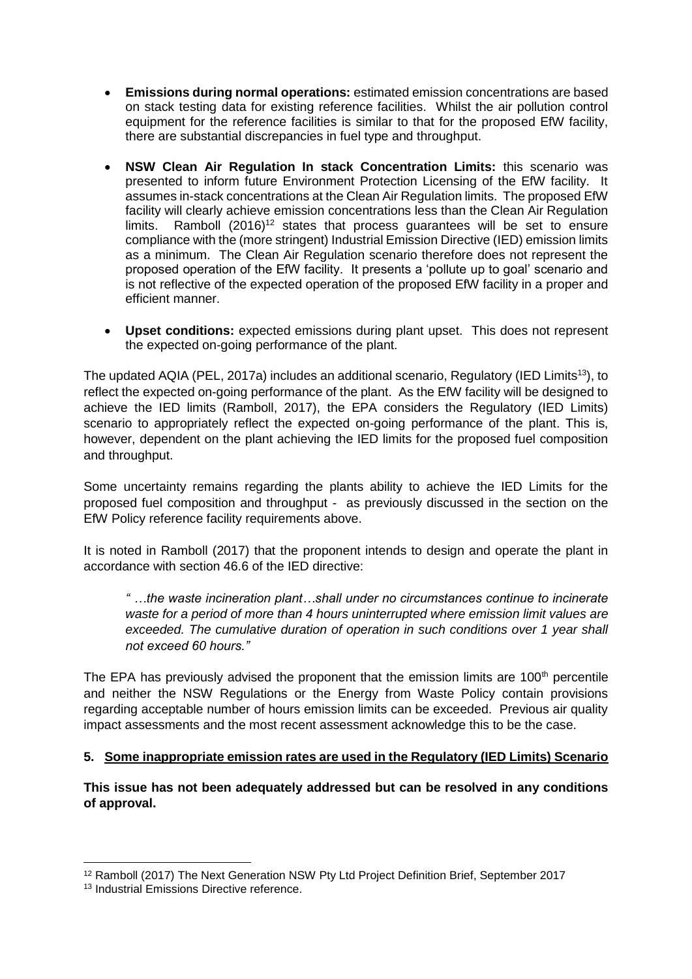- **Emissions during normal operations:** estimated emission concentrations are based on stack testing data for existing reference facilities. Whilst the air pollution control equipment for the reference facilities is similar to that for the proposed EfW facility, there are substantial discrepancies in fuel type and throughput.
- **NSW Clean Air Regulation In stack Concentration Limits:** this scenario was presented to inform future Environment Protection Licensing of the EfW facility. It assumes in-stack concentrations at the Clean Air Regulation limits. The proposed EfW facility will clearly achieve emission concentrations less than the Clean Air Regulation  $limits$ . Ramboll (2016)<sup>12</sup> states that process quarantees will be set to ensure compliance with the (more stringent) Industrial Emission Directive (IED) emission limits as a minimum. The Clean Air Regulation scenario therefore does not represent the proposed operation of the EfW facility. It presents a 'pollute up to goal' scenario and is not reflective of the expected operation of the proposed EfW facility in a proper and efficient manner.
- **Upset conditions:** expected emissions during plant upset. This does not represent the expected on-going performance of the plant.

The updated AQIA (PEL, 2017a) includes an additional scenario, Regulatory (IED Limits<sup>13</sup>), to reflect the expected on-going performance of the plant. As the EfW facility will be designed to achieve the IED limits (Ramboll, 2017), the EPA considers the Regulatory (IED Limits) scenario to appropriately reflect the expected on-going performance of the plant. This is, however, dependent on the plant achieving the IED limits for the proposed fuel composition and throughput.

Some uncertainty remains regarding the plants ability to achieve the IED Limits for the proposed fuel composition and throughput - as previously discussed in the section on the EfW Policy reference facility requirements above.

It is noted in Ramboll (2017) that the proponent intends to design and operate the plant in accordance with section 46.6 of the IED directive:

*" …the waste incineration plant…shall under no circumstances continue to incinerate waste for a period of more than 4 hours uninterrupted where emission limit values are exceeded. The cumulative duration of operation in such conditions over 1 year shall not exceed 60 hours."* 

The EPA has previously advised the proponent that the emission limits are 100<sup>th</sup> percentile and neither the NSW Regulations or the Energy from Waste Policy contain provisions regarding acceptable number of hours emission limits can be exceeded. Previous air quality impact assessments and the most recent assessment acknowledge this to be the case.

## **5. Some inappropriate emission rates are used in the Regulatory (IED Limits) Scenario**

**This issue has not been adequately addressed but can be resolved in any conditions of approval.**

1

<sup>12</sup> Ramboll (2017) The Next Generation NSW Pty Ltd Project Definition Brief, September 2017

<sup>&</sup>lt;sup>13</sup> Industrial Emissions Directive reference.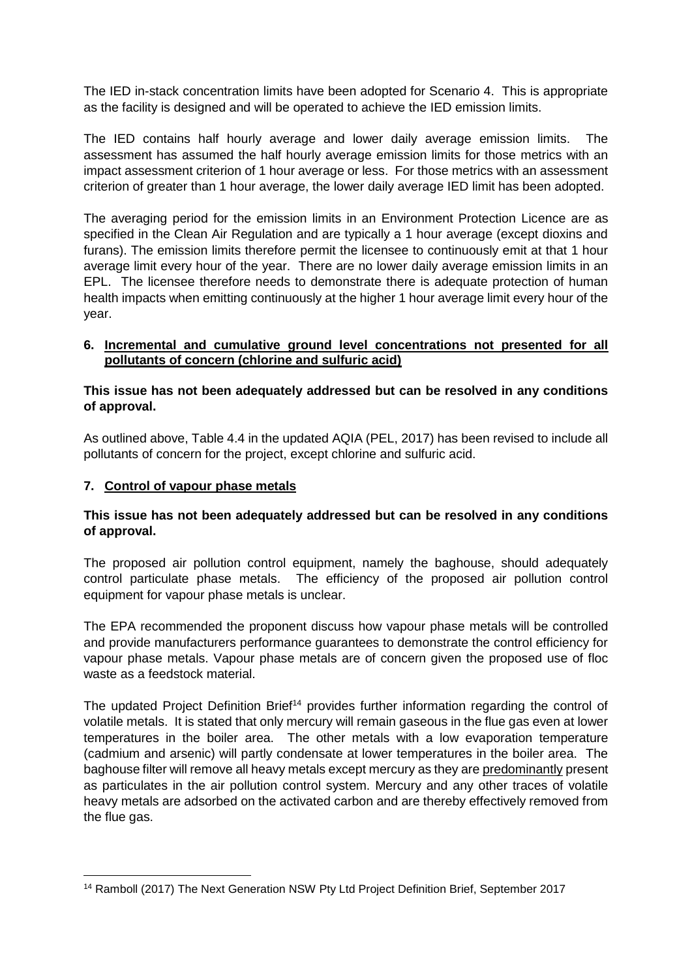The IED in-stack concentration limits have been adopted for Scenario 4. This is appropriate as the facility is designed and will be operated to achieve the IED emission limits.

The IED contains half hourly average and lower daily average emission limits. The assessment has assumed the half hourly average emission limits for those metrics with an impact assessment criterion of 1 hour average or less. For those metrics with an assessment criterion of greater than 1 hour average, the lower daily average IED limit has been adopted.

The averaging period for the emission limits in an Environment Protection Licence are as specified in the Clean Air Regulation and are typically a 1 hour average (except dioxins and furans). The emission limits therefore permit the licensee to continuously emit at that 1 hour average limit every hour of the year. There are no lower daily average emission limits in an EPL. The licensee therefore needs to demonstrate there is adequate protection of human health impacts when emitting continuously at the higher 1 hour average limit every hour of the year.

## **6. Incremental and cumulative ground level concentrations not presented for all pollutants of concern (chlorine and sulfuric acid)**

## **This issue has not been adequately addressed but can be resolved in any conditions of approval.**

As outlined above, Table 4.4 in the updated AQIA (PEL, 2017) has been revised to include all pollutants of concern for the project, except chlorine and sulfuric acid.

## **7. Control of vapour phase metals**

## **This issue has not been adequately addressed but can be resolved in any conditions of approval.**

The proposed air pollution control equipment, namely the baghouse, should adequately control particulate phase metals. The efficiency of the proposed air pollution control equipment for vapour phase metals is unclear.

The EPA recommended the proponent discuss how vapour phase metals will be controlled and provide manufacturers performance guarantees to demonstrate the control efficiency for vapour phase metals. Vapour phase metals are of concern given the proposed use of floc waste as a feedstock material.

The updated Project Definition Brief<sup>14</sup> provides further information regarding the control of volatile metals. It is stated that only mercury will remain gaseous in the flue gas even at lower temperatures in the boiler area. The other metals with a low evaporation temperature (cadmium and arsenic) will partly condensate at lower temperatures in the boiler area. The baghouse filter will remove all heavy metals except mercury as they are predominantly present as particulates in the air pollution control system. Mercury and any other traces of volatile heavy metals are adsorbed on the activated carbon and are thereby effectively removed from the flue gas.

**<sup>.</sup>** <sup>14</sup> Ramboll (2017) The Next Generation NSW Pty Ltd Project Definition Brief, September 2017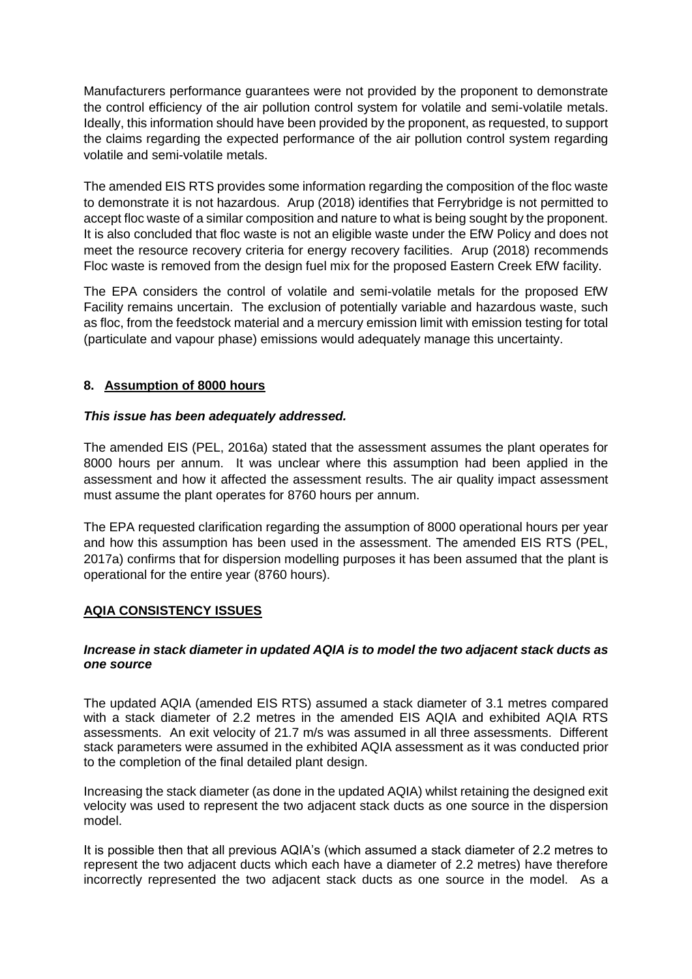Manufacturers performance guarantees were not provided by the proponent to demonstrate the control efficiency of the air pollution control system for volatile and semi-volatile metals. Ideally, this information should have been provided by the proponent, as requested, to support the claims regarding the expected performance of the air pollution control system regarding volatile and semi-volatile metals.

The amended EIS RTS provides some information regarding the composition of the floc waste to demonstrate it is not hazardous. Arup (2018) identifies that Ferrybridge is not permitted to accept floc waste of a similar composition and nature to what is being sought by the proponent. It is also concluded that floc waste is not an eligible waste under the EfW Policy and does not meet the resource recovery criteria for energy recovery facilities. Arup (2018) recommends Floc waste is removed from the design fuel mix for the proposed Eastern Creek EfW facility.

The EPA considers the control of volatile and semi-volatile metals for the proposed EfW Facility remains uncertain. The exclusion of potentially variable and hazardous waste, such as floc, from the feedstock material and a mercury emission limit with emission testing for total (particulate and vapour phase) emissions would adequately manage this uncertainty.

# **8. Assumption of 8000 hours**

## *This issue has been adequately addressed.*

The amended EIS (PEL, 2016a) stated that the assessment assumes the plant operates for 8000 hours per annum. It was unclear where this assumption had been applied in the assessment and how it affected the assessment results. The air quality impact assessment must assume the plant operates for 8760 hours per annum.

The EPA requested clarification regarding the assumption of 8000 operational hours per year and how this assumption has been used in the assessment. The amended EIS RTS (PEL, 2017a) confirms that for dispersion modelling purposes it has been assumed that the plant is operational for the entire year (8760 hours).

# **AQIA CONSISTENCY ISSUES**

## *Increase in stack diameter in updated AQIA is to model the two adjacent stack ducts as one source*

The updated AQIA (amended EIS RTS) assumed a stack diameter of 3.1 metres compared with a stack diameter of 2.2 metres in the amended EIS AQIA and exhibited AQIA RTS assessments. An exit velocity of 21.7 m/s was assumed in all three assessments. Different stack parameters were assumed in the exhibited AQIA assessment as it was conducted prior to the completion of the final detailed plant design.

Increasing the stack diameter (as done in the updated AQIA) whilst retaining the designed exit velocity was used to represent the two adjacent stack ducts as one source in the dispersion model.

It is possible then that all previous AQIA's (which assumed a stack diameter of 2.2 metres to represent the two adjacent ducts which each have a diameter of 2.2 metres) have therefore incorrectly represented the two adjacent stack ducts as one source in the model. As a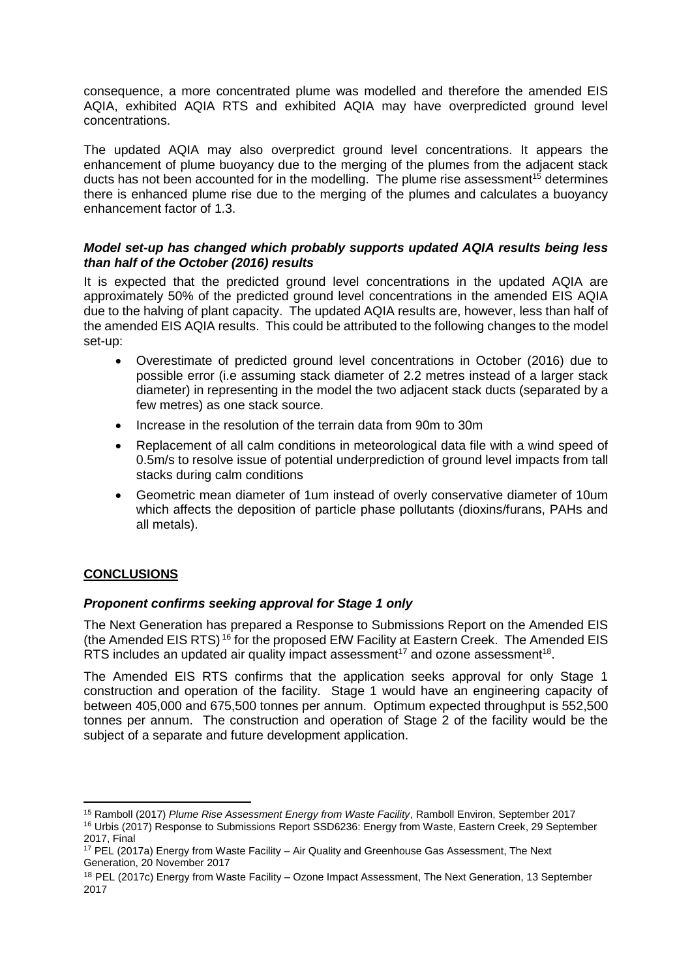consequence, a more concentrated plume was modelled and therefore the amended EIS AQIA, exhibited AQIA RTS and exhibited AQIA may have overpredicted ground level concentrations.

The updated AQIA may also overpredict ground level concentrations. It appears the enhancement of plume buoyancy due to the merging of the plumes from the adjacent stack ducts has not been accounted for in the modelling. The plume rise assessment<sup>15</sup> determines there is enhanced plume rise due to the merging of the plumes and calculates a buoyancy enhancement factor of 1.3.

## *Model set-up has changed which probably supports updated AQIA results being less than half of the October (2016) results*

It is expected that the predicted ground level concentrations in the updated AQIA are approximately 50% of the predicted ground level concentrations in the amended EIS AQIA due to the halving of plant capacity. The updated AQIA results are, however, less than half of the amended EIS AQIA results. This could be attributed to the following changes to the model set-up:

- Overestimate of predicted ground level concentrations in October (2016) due to possible error (i.e assuming stack diameter of 2.2 metres instead of a larger stack diameter) in representing in the model the two adjacent stack ducts (separated by a few metres) as one stack source.
- Increase in the resolution of the terrain data from 90m to 30m
- Replacement of all calm conditions in meteorological data file with a wind speed of 0.5m/s to resolve issue of potential underprediction of ground level impacts from tall stacks during calm conditions
- Geometric mean diameter of 1um instead of overly conservative diameter of 10um which affects the deposition of particle phase pollutants (dioxins/furans, PAHs and all metals).

# **CONCLUSIONS**

1

## *Proponent confirms seeking approval for Stage 1 only*

The Next Generation has prepared a Response to Submissions Report on the Amended EIS (the Amended EIS RTS) <sup>16</sup> for the proposed EfW Facility at Eastern Creek. The Amended EIS RTS includes an updated air quality impact assessment<sup>17</sup> and ozone assessment<sup>18</sup>.

The Amended EIS RTS confirms that the application seeks approval for only Stage 1 construction and operation of the facility. Stage 1 would have an engineering capacity of between 405,000 and 675,500 tonnes per annum. Optimum expected throughput is 552,500 tonnes per annum. The construction and operation of Stage 2 of the facility would be the subject of a separate and future development application.

<sup>15</sup> Ramboll (2017) *Plume Rise Assessment Energy from Waste Facility*, Ramboll Environ, September 2017 <sup>16</sup> Urbis (2017) Response to Submissions Report SSD6236: Energy from Waste, Eastern Creek, 29 September 2017, Final

<sup>&</sup>lt;sup>17</sup> PEL (2017a) Energy from Waste Facility – Air Quality and Greenhouse Gas Assessment, The Next Generation, 20 November 2017

<sup>18</sup> PEL (2017c) Energy from Waste Facility – Ozone Impact Assessment, The Next Generation, 13 September 2017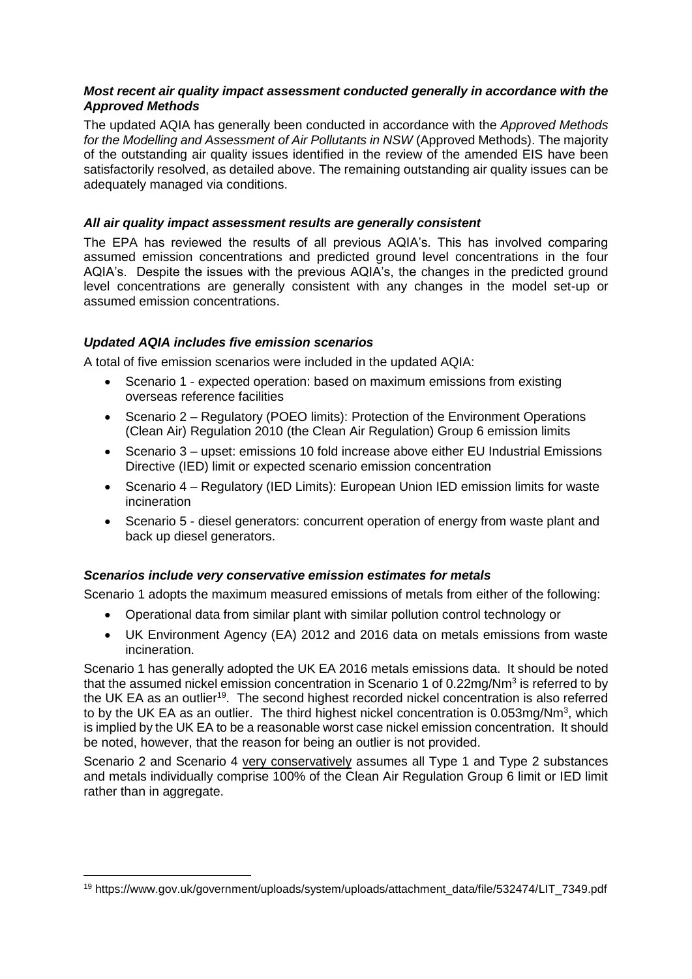## *Most recent air quality impact assessment conducted generally in accordance with the Approved Methods*

The updated AQIA has generally been conducted in accordance with the *Approved Methods for the Modelling and Assessment of Air Pollutants in NSW* (Approved Methods). The majority of the outstanding air quality issues identified in the review of the amended EIS have been satisfactorily resolved, as detailed above. The remaining outstanding air quality issues can be adequately managed via conditions.

## *All air quality impact assessment results are generally consistent*

The EPA has reviewed the results of all previous AQIA's. This has involved comparing assumed emission concentrations and predicted ground level concentrations in the four AQIA's. Despite the issues with the previous AQIA's, the changes in the predicted ground level concentrations are generally consistent with any changes in the model set-up or assumed emission concentrations.

#### *Updated AQIA includes five emission scenarios*

**.** 

A total of five emission scenarios were included in the updated AQIA:

- Scenario 1 expected operation: based on maximum emissions from existing overseas reference facilities
- Scenario 2 Regulatory (POEO limits): Protection of the Environment Operations (Clean Air) Regulation 2010 (the Clean Air Regulation) Group 6 emission limits
- Scenario 3 upset: emissions 10 fold increase above either EU Industrial Emissions Directive (IED) limit or expected scenario emission concentration
- Scenario 4 Regulatory (IED Limits): European Union IED emission limits for waste incineration
- Scenario 5 diesel generators: concurrent operation of energy from waste plant and back up diesel generators.

## *Scenarios include very conservative emission estimates for metals*

Scenario 1 adopts the maximum measured emissions of metals from either of the following:

- Operational data from similar plant with similar pollution control technology or
- UK Environment Agency (EA) 2012 and 2016 data on metals emissions from waste incineration.

Scenario 1 has generally adopted the UK EA 2016 metals emissions data. It should be noted that the assumed nickel emission concentration in Scenario 1 of 0.22mg/Nm<sup>3</sup> is referred to by the UK EA as an outlier<sup>19</sup>. The second highest recorded nickel concentration is also referred to by the UK EA as an outlier. The third highest nickel concentration is  $0.053$ mg/Nm<sup>3</sup>, which is implied by the UK EA to be a reasonable worst case nickel emission concentration. It should be noted, however, that the reason for being an outlier is not provided.

Scenario 2 and Scenario 4 very conservatively assumes all Type 1 and Type 2 substances and metals individually comprise 100% of the Clean Air Regulation Group 6 limit or IED limit rather than in aggregate.

<sup>19</sup> https://www.gov.uk/government/uploads/system/uploads/attachment\_data/file/532474/LIT\_7349.pdf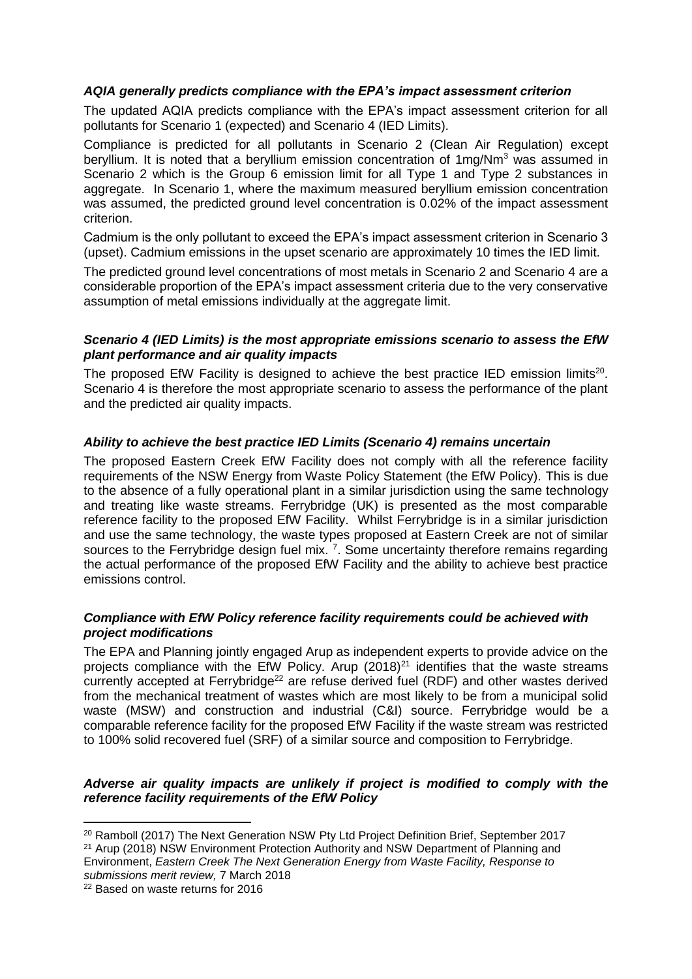#### *AQIA generally predicts compliance with the EPA's impact assessment criterion*

The updated AQIA predicts compliance with the EPA's impact assessment criterion for all pollutants for Scenario 1 (expected) and Scenario 4 (IED Limits).

Compliance is predicted for all pollutants in Scenario 2 (Clean Air Regulation) except beryllium. It is noted that a beryllium emission concentration of 1mg/Nm<sup>3</sup> was assumed in Scenario 2 which is the Group 6 emission limit for all Type 1 and Type 2 substances in aggregate. In Scenario 1, where the maximum measured beryllium emission concentration was assumed, the predicted ground level concentration is 0.02% of the impact assessment criterion.

Cadmium is the only pollutant to exceed the EPA's impact assessment criterion in Scenario 3 (upset). Cadmium emissions in the upset scenario are approximately 10 times the IED limit.

The predicted ground level concentrations of most metals in Scenario 2 and Scenario 4 are a considerable proportion of the EPA's impact assessment criteria due to the very conservative assumption of metal emissions individually at the aggregate limit.

#### *Scenario 4 (IED Limits) is the most appropriate emissions scenario to assess the EfW plant performance and air quality impacts*

The proposed EfW Facility is designed to achieve the best practice IED emission limits<sup>20</sup>. Scenario 4 is therefore the most appropriate scenario to assess the performance of the plant and the predicted air quality impacts.

## *Ability to achieve the best practice IED Limits (Scenario 4) remains uncertain*

The proposed Eastern Creek EfW Facility does not comply with all the reference facility requirements of the NSW Energy from Waste Policy Statement (the EfW Policy). This is due to the absence of a fully operational plant in a similar jurisdiction using the same technology and treating like waste streams. Ferrybridge (UK) is presented as the most comparable reference facility to the proposed EfW Facility. Whilst Ferrybridge is in a similar jurisdiction and use the same technology, the waste types proposed at Eastern Creek are not of similar sources to the Ferrybridge design fuel mix.  $7$ . Some uncertainty therefore remains regarding the actual performance of the proposed EfW Facility and the ability to achieve best practice emissions control.

## *Compliance with EfW Policy reference facility requirements could be achieved with project modifications*

The EPA and Planning jointly engaged Arup as independent experts to provide advice on the projects compliance with the EfW Policy. Arup  $(2018)^{21}$  identifies that the waste streams currently accepted at Ferrybridge<sup>22</sup> are refuse derived fuel (RDF) and other wastes derived from the mechanical treatment of wastes which are most likely to be from a municipal solid waste (MSW) and construction and industrial (C&I) source. Ferrybridge would be a comparable reference facility for the proposed EfW Facility if the waste stream was restricted to 100% solid recovered fuel (SRF) of a similar source and composition to Ferrybridge.

## *Adverse air quality impacts are unlikely if project is modified to comply with the reference facility requirements of the EfW Policy*

<sup>1</sup> <sup>20</sup> Ramboll (2017) The Next Generation NSW Pty Ltd Project Definition Brief, September 2017

<sup>&</sup>lt;sup>21</sup> Arup (2018) NSW Environment Protection Authority and NSW Department of Planning and Environment, *Eastern Creek The Next Generation Energy from Waste Facility, Response to submissions merit review,* 7 March 2018

<sup>22</sup> Based on waste returns for 2016